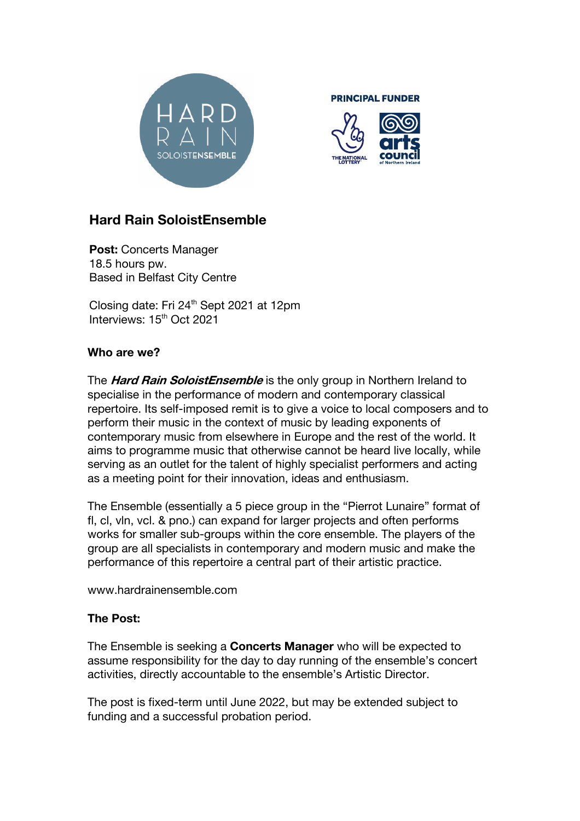

**PRINCIPAL FUNDER** 



# **Hard Rain SoloistEnsemble**

**Post: Concerts Manager** 18.5 hours pw. Based in Belfast City Centre

Closing date: Fri 24th Sept 2021 at 12pm Interviews: 15<sup>th</sup> Oct 2021

## **Who are we?**

The **Hard Rain SoloistEnsemble** is the only group in Northern Ireland to specialise in the performance of modern and contemporary classical repertoire. Its self-imposed remit is to give a voice to local composers and to perform their music in the context of music by leading exponents of contemporary music from elsewhere in Europe and the rest of the world. It aims to programme music that otherwise cannot be heard live locally, while serving as an outlet for the talent of highly specialist performers and acting as a meeting point for their innovation, ideas and enthusiasm.

The Ensemble (essentially a 5 piece group in the "Pierrot Lunaire" format of fl, cl, vln, vcl, & pno.) can expand for larger projects and often performs works for smaller sub-groups within the core ensemble. The players of the group are all specialists in contemporary and modern music and make the performance of this repertoire a central part of their artistic practice.

www.hardrainensemble.com

### **The Post:**

The Ensemble is seeking a **Concerts Manager** who will be expected to assume responsibility for the day to day running of the ensemble's concert activities, directly accountable to the ensemble's Artistic Director.

The post is fixed-term until June 2022, but may be extended subject to funding and a successful probation period.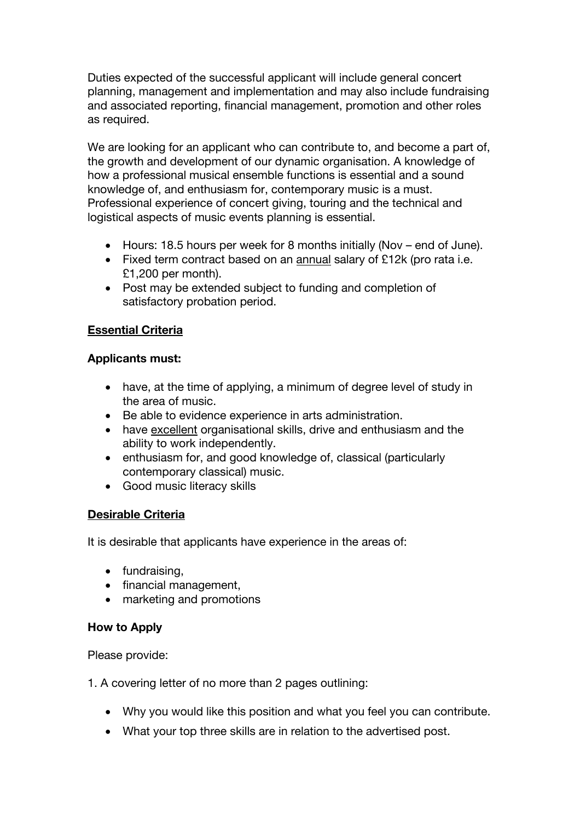Duties expected of the successful applicant will include general concert planning, management and implementation and may also include fundraising and associated reporting, financial management, promotion and other roles as required.

We are looking for an applicant who can contribute to, and become a part of, the growth and development of our dynamic organisation. A knowledge of how a professional musical ensemble functions is essential and a sound knowledge of, and enthusiasm for, contemporary music is a must. Professional experience of concert giving, touring and the technical and logistical aspects of music events planning is essential.

- Hours: 18.5 hours per week for 8 months initially (Nov end of June).
- Fixed term contract based on an annual salary of £12k (pro rata i.e. £1,200 per month).
- Post may be extended subject to funding and completion of satisfactory probation period.

### **Essential Criteria**

#### **Applicants must:**

- have, at the time of applying, a minimum of degree level of study in the area of music.
- Be able to evidence experience in arts administration.
- have excellent organisational skills, drive and enthusiasm and the ability to work independently.
- enthusiasm for, and good knowledge of, classical (particularly contemporary classical) music.
- Good music literacy skills

### **Desirable Criteria**

It is desirable that applicants have experience in the areas of:

- fundraising,
- financial management,
- marketing and promotions

### **How to Apply**

Please provide:

1. A covering letter of no more than 2 pages outlining:

- Why you would like this position and what you feel you can contribute.
- What your top three skills are in relation to the advertised post.